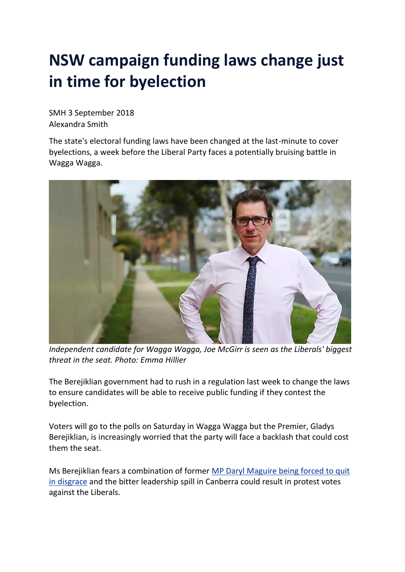## **NSW campaign funding laws change just in time for byelection**

SMH 3 September 2018 Alexandra Smith

The state's electoral funding laws have been changed at the last-minute to cover byelections, a week before the Liberal Party faces a potentially bruising battle in Wagga Wagga.



*Independent candidate for Wagga Wagga, Joe McGirr is seen as the Liberals' biggest threat in the seat. Photo: Emma Hillier*

The Berejiklian government had to rush in a regulation last week to change the laws to ensure candidates will be able to receive public funding if they contest the byelection.

Voters will go to the polls on Saturday in Wagga Wagga but the Premier, Gladys Berejiklian, is increasingly worried that the party will face a backlash that could cost them the seat.

Ms Berejiklian fears a combination of former MP Daryl [Maguire](https://www.smh.com.au/politics/nsw/wagga-wagga-mp-daryl-maguire-to-resign-gladys-berejiklian-says-20180721-p4zstb.html) being forced to quit in [disgrace](https://www.smh.com.au/politics/nsw/wagga-wagga-mp-daryl-maguire-to-resign-gladys-berejiklian-says-20180721-p4zstb.html) and the bitter leadership spill in Canberra could result in protest votes against the Liberals.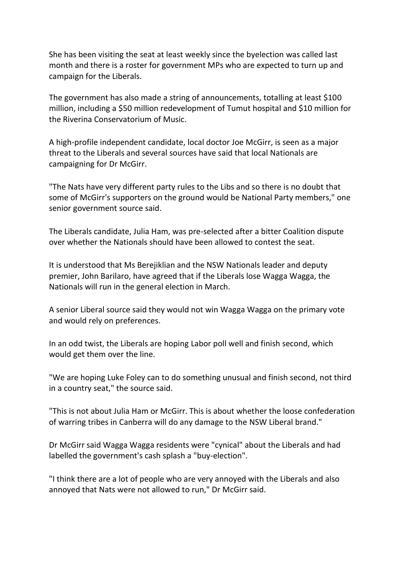She has been visiting the seat at least weekly since the byelection was called last month and there is a roster for government MPs who are expected to turn up and campaign for the Liberals.

The government has also made a string of announcements, totalling at least \$100 million, including a \$50 million redevelopment of Tumut hospital and \$10 million for the Riverina Conservatorium of Music.

A high-profile independent candidate, local doctor Joe McGirr, is seen as a major threat to the Liberals and several sources have said that local Nationals are campaigning for Dr McGirr.

"The Nats have very different party rules to the Libs and so there is no doubt that some of McGirr's supporters on the ground would be National Party members," one senior government source said.

The Liberals candidate, Julia Ham, was pre-selected after a bitter Coalition dispute over whether the Nationals should have been allowed to contest the seat.

It is understood that Ms Berejiklian and the NSW Nationals leader and deputy premier, John Barilaro, have agreed that if the Liberals lose Wagga Wagga, the Nationals will run in the general election in March.

A senior Liberal source said they would not win Wagga Wagga on the primary vote and would rely on preferences.

In an odd twist, the Liberals are hoping Labor poll well and finish second, which would get them over the line.

"We are hoping Luke Foley can to do something unusual and finish second, not third in a country seat," the source said.

"This is not about Julia Ham or McGirr. This is about whether the loose confederation of warring tribes in Canberra will do any damage to the NSW Liberal brand."

Dr McGirr said Wagga Wagga residents were "cynical" about the Liberals and had labelled the government's cash splash a "buy-election".

"I think there are a lot of people who are very annoyed with the Liberals and also annoyed that Nats were not allowed to run," Dr McGirr said.